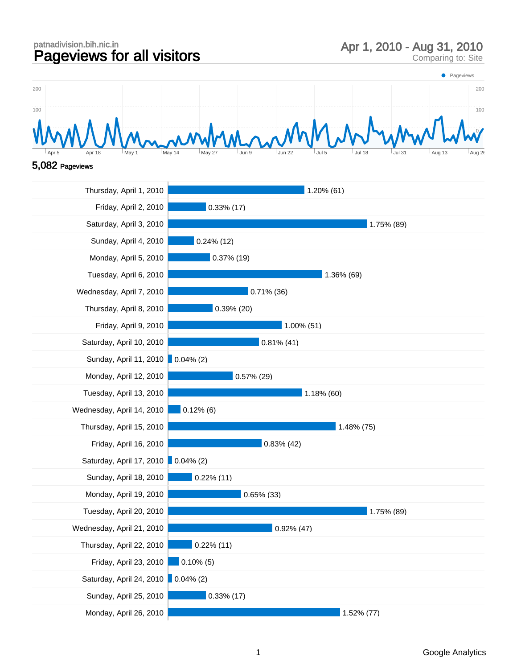## patnadivision.bih.nic.in<br>**Pageviews for all visitors** Apr 1, 2010 - Aug 31, 2010<br>Comparing to: Site





| Thursday, April 1, 2010            | 1.20% (61)    |
|------------------------------------|---------------|
| Friday, April 2, 2010              | $0.33\%$ (17) |
| Saturday, April 3, 2010            | 1.75% (89)    |
| Sunday, April 4, 2010              | $0.24\%$ (12) |
| Monday, April 5, 2010              | $0.37\%$ (19) |
| Tuesday, April 6, 2010             | 1.36% (69)    |
| Wednesday, April 7, 2010           | $0.71\%$ (36) |
| Thursday, April 8, 2010            | $0.39\%$ (20) |
| Friday, April 9, 2010              | 1.00% (51)    |
| Saturday, April 10, 2010           | $0.81\%$ (41) |
| Sunday, April 11, 2010 0.04% (2)   |               |
| Monday, April 12, 2010             | $0.57\%$ (29) |
| Tuesday, April 13, 2010            | 1.18% (60)    |
| Wednesday, April 14, 2010          | $0.12\%$ (6)  |
| Thursday, April 15, 2010           | 1.48% (75)    |
| Friday, April 16, 2010             | $0.83\%$ (42) |
| Saturday, April 17, 2010 0.04% (2) |               |
| Sunday, April 18, 2010             | $0.22\%$ (11) |
| Monday, April 19, 2010             | $0.65\%$ (33) |
| Tuesday, April 20, 2010            | 1.75% (89)    |
| Wednesday, April 21, 2010          | $0.92\%$ (47) |
| Thursday, April 22, 2010           | $0.22\%$ (11) |
| Friday, April 23, 2010             | $0.10\%$ (5)  |
| Saturday, April 24, 2010 0.04% (2) |               |
| Sunday, April 25, 2010             | $0.33\%$ (17) |
| Monday, April 26, 2010             | 1.52% (77)    |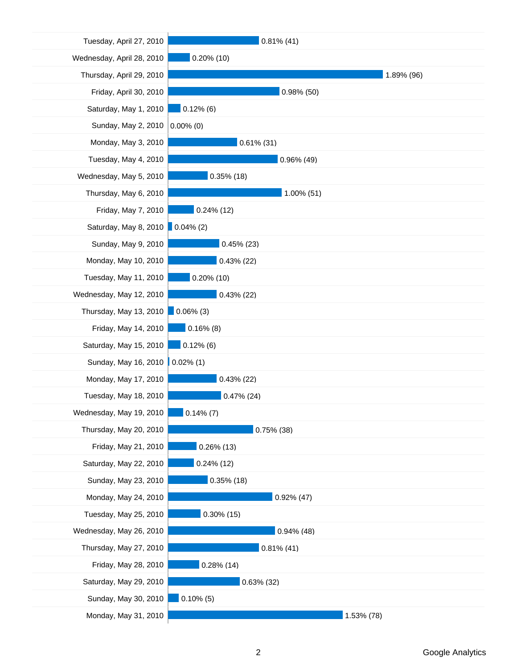| Tuesday, April 27, 2010   | $0.81\%$ (41) |
|---------------------------|---------------|
| Wednesday, April 28, 2010 | $0.20\%$ (10) |
| Thursday, April 29, 2010  | 1.89% (96)    |
| Friday, April 30, 2010    | $0.98\%$ (50) |
| Saturday, May 1, 2010     | $0.12\%$ (6)  |
| Sunday, May 2, 2010       | $0.00\%$ (0)  |
| Monday, May 3, 2010       | $0.61\%$ (31) |
| Tuesday, May 4, 2010      | 0.96% (49)    |
| Wednesday, May 5, 2010    | $0.35\%$ (18) |
| Thursday, May 6, 2010     | 1.00% (51)    |
| Friday, May 7, 2010       | $0.24\%$ (12) |
| Saturday, May 8, 2010     | $0.04\%$ (2)  |
| Sunday, May 9, 2010       | $0.45\%$ (23) |
| Monday, May 10, 2010      | $0.43\%$ (22) |
| Tuesday, May 11, 2010     | $0.20\%$ (10) |
| Wednesday, May 12, 2010   | $0.43\%$ (22) |
| Thursday, May 13, 2010    | $0.06\%$ (3)  |
| Friday, May 14, 2010      | $0.16\%$ (8)  |
| Saturday, May 15, 2010    | $0.12\%$ (6)  |
| Sunday, May 16, 2010      | $0.02\%$ (1)  |
| Monday, May 17, 2010      | $0.43\%$ (22) |
| Tuesday, May 18, 2010     | $0.47\%$ (24) |
| Wednesday, May 19, 2010   | $0.14\%$ (7)  |
| Thursday, May 20, 2010    | $0.75\%$ (38) |
| Friday, May 21, 2010      | $0.26\%$ (13) |
| Saturday, May 22, 2010    | $0.24\%$ (12) |
| Sunday, May 23, 2010      | $0.35\%$ (18) |
| Monday, May 24, 2010      | $0.92\%$ (47) |
| Tuesday, May 25, 2010     | $0.30\%$ (15) |
| Wednesday, May 26, 2010   | $0.94\%$ (48) |
| Thursday, May 27, 2010    | $0.81\%$ (41) |
| Friday, May 28, 2010      | $0.28\%$ (14) |
| Saturday, May 29, 2010    | $0.63\%$ (32) |
| Sunday, May 30, 2010      | $0.10\%$ (5)  |
| Monday, May 31, 2010      | 1.53% (78)    |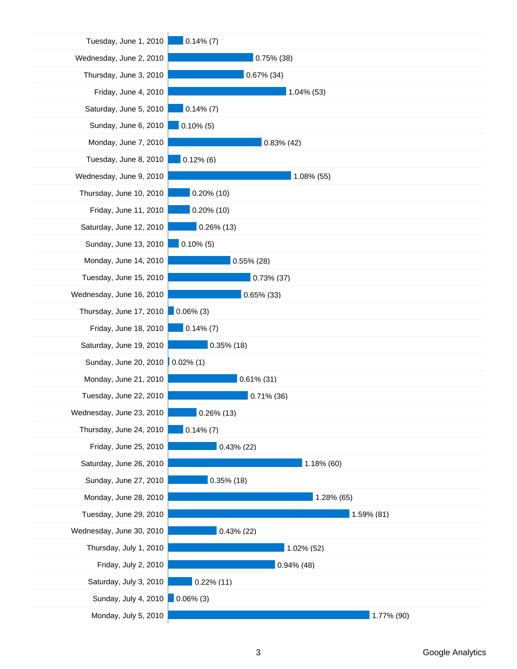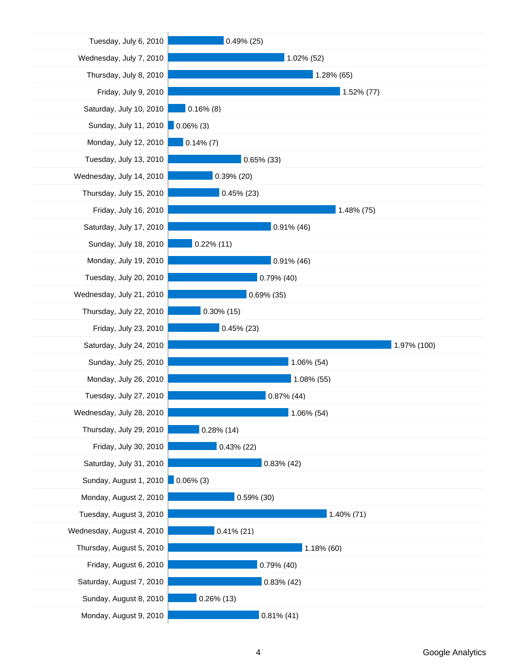